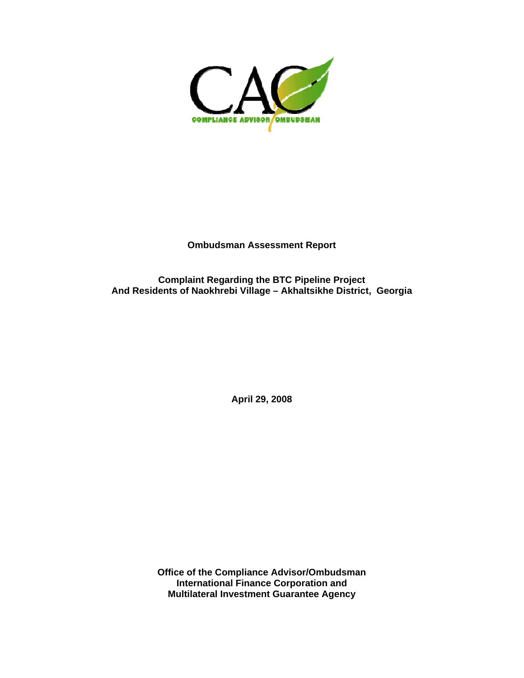

**Ombudsman Assessment Report** 

**Complaint Regarding the BTC Pipeline Project And Residents of Naokhrebi Village – Akhaltsikhe District, Georgia** 

**April 29, 2008**

**Office of the Compliance Advisor/Ombudsman International Finance Corporation and Multilateral Investment Guarantee Agency**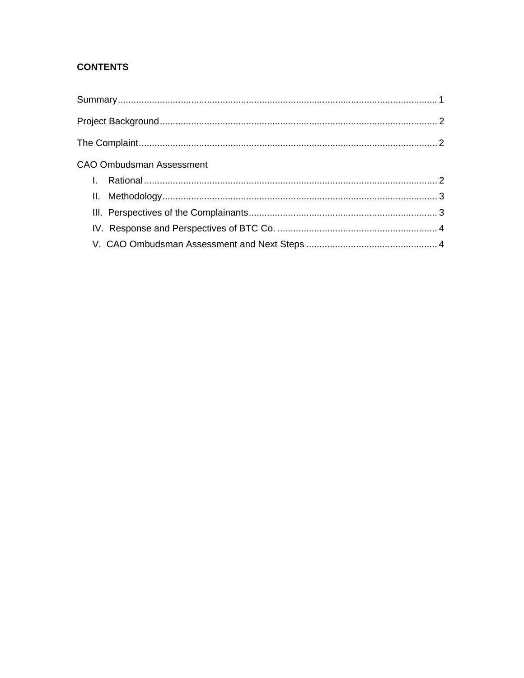# **CONTENTS**

| <b>CAO Ombudsman Assessment</b> |  |
|---------------------------------|--|
|                                 |  |
|                                 |  |
|                                 |  |
|                                 |  |
|                                 |  |
|                                 |  |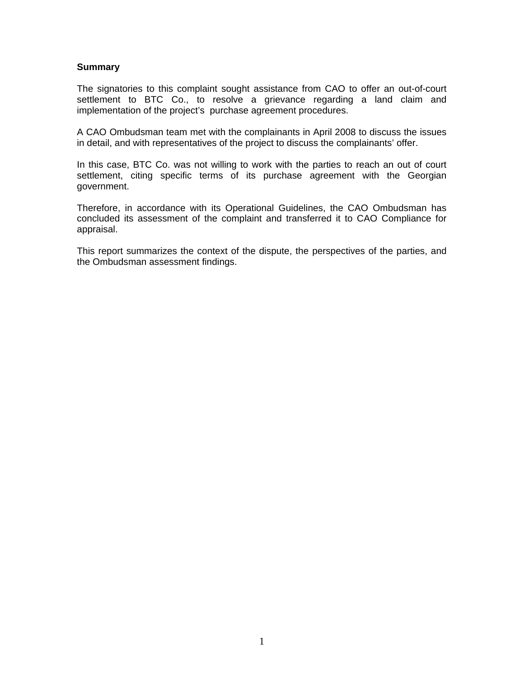#### **Summary**

The signatories to this complaint sought assistance from CAO to offer an out-of-court settlement to BTC Co., to resolve a grievance regarding a land claim and implementation of the project's purchase agreement procedures.

A CAO Ombudsman team met with the complainants in April 2008 to discuss the issues in detail, and with representatives of the project to discuss the complainants' offer.

In this case, BTC Co. was not willing to work with the parties to reach an out of court settlement, citing specific terms of its purchase agreement with the Georgian government.

Therefore, in accordance with its Operational Guidelines, the CAO Ombudsman has concluded its assessment of the complaint and transferred it to CAO Compliance for appraisal.

This report summarizes the context of the dispute, the perspectives of the parties, and the Ombudsman assessment findings.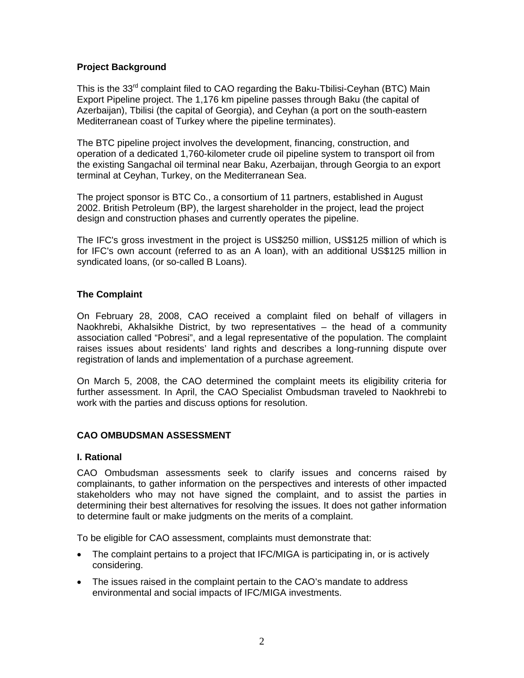# **Project Background**

This is the 33 $^{\text{rd}}$  complaint filed to CAO regarding the Baku-Tbilisi-Ceyhan (BTC) Main Export Pipeline project. The 1,176 km pipeline passes through Baku (the capital of Azerbaiian), Tbilisi (the capital of Georgia), and Ceyhan (a port on the south-eastern Mediterranean coast of Turkey where the pipeline terminates).

The BTC pipeline project involves the development, financing, construction, and operation of a dedicated 1,760-kilometer crude oil pipeline system to transport oil from the existing Sangachal oil terminal near Baku, Azerbaijan, through Georgia to an export terminal at Ceyhan, Turkey, on the Mediterranean Sea.

The project sponsor is BTC Co., a consortium of 11 partners, established in August 2002. British Petroleum (BP), the largest shareholder in the project, lead the project design and construction phases and currently operates the pipeline.

The IFC's gross investment in the project is US\$250 million, US\$125 million of which is for IFC's own account (referred to as an A loan), with an additional US\$125 million in syndicated loans, (or so-called B Loans).

# **The Complaint**

On February 28, 2008, CAO received a complaint filed on behalf of villagers in Naokhrebi, Akhalsikhe District, by two representatives – the head of a community association called "Pobresi", and a legal representative of the population. The complaint raises issues about residents' land rights and describes a long-running dispute over registration of lands and implementation of a purchase agreement.

On March 5, 2008, the CAO determined the complaint meets its eligibility criteria for further assessment. In April, the CAO Specialist Ombudsman traveled to Naokhrebi to work with the parties and discuss options for resolution.

# **CAO OMBUDSMAN ASSESSMENT**

# **I. Rational**

CAO Ombudsman assessments seek to clarify issues and concerns raised by complainants, to gather information on the perspectives and interests of other impacted stakeholders who may not have signed the complaint, and to assist the parties in determining their best alternatives for resolving the issues. It does not gather information to determine fault or make judgments on the merits of a complaint.

To be eligible for CAO assessment, complaints must demonstrate that:

- The complaint pertains to a project that IFC/MIGA is participating in, or is actively considering.
- The issues raised in the complaint pertain to the CAO's mandate to address environmental and social impacts of IFC/MIGA investments.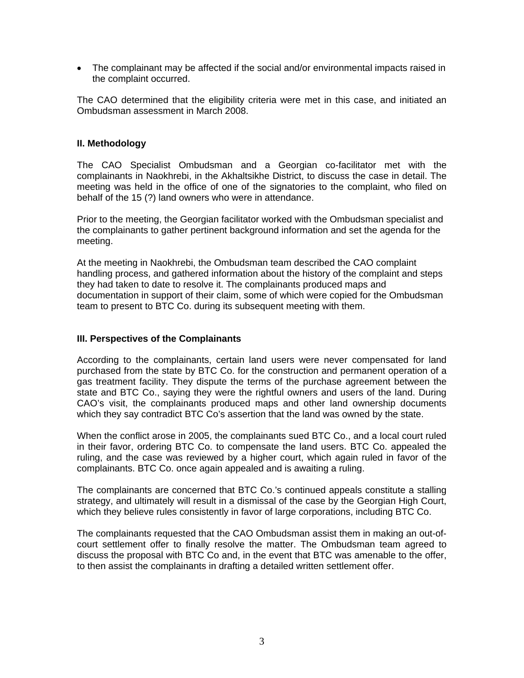• The complainant may be affected if the social and/or environmental impacts raised in the complaint occurred.

The CAO determined that the eligibility criteria were met in this case, and initiated an Ombudsman assessment in March 2008.

#### **II. Methodology**

The CAO Specialist Ombudsman and a Georgian co-facilitator met with the complainants in Naokhrebi, in the Akhaltsikhe District, to discuss the case in detail. The meeting was held in the office of one of the signatories to the complaint, who filed on behalf of the 15 (?) land owners who were in attendance.

Prior to the meeting, the Georgian facilitator worked with the Ombudsman specialist and the complainants to gather pertinent background information and set the agenda for the meeting.

At the meeting in Naokhrebi, the Ombudsman team described the CAO complaint handling process, and gathered information about the history of the complaint and steps they had taken to date to resolve it. The complainants produced maps and documentation in support of their claim, some of which were copied for the Ombudsman team to present to BTC Co. during its subsequent meeting with them.

#### **III. Perspectives of the Complainants**

According to the complainants, certain land users were never compensated for land purchased from the state by BTC Co. for the construction and permanent operation of a gas treatment facility. They dispute the terms of the purchase agreement between the state and BTC Co., saying they were the rightful owners and users of the land. During CAO's visit, the complainants produced maps and other land ownership documents which they say contradict BTC Co's assertion that the land was owned by the state.

When the conflict arose in 2005, the complainants sued BTC Co., and a local court ruled in their favor, ordering BTC Co. to compensate the land users. BTC Co. appealed the ruling, and the case was reviewed by a higher court, which again ruled in favor of the complainants. BTC Co. once again appealed and is awaiting a ruling.

The complainants are concerned that BTC Co.'s continued appeals constitute a stalling strategy, and ultimately will result in a dismissal of the case by the Georgian High Court, which they believe rules consistently in favor of large corporations, including BTC Co.

The complainants requested that the CAO Ombudsman assist them in making an out-ofcourt settlement offer to finally resolve the matter. The Ombudsman team agreed to discuss the proposal with BTC Co and, in the event that BTC was amenable to the offer, to then assist the complainants in drafting a detailed written settlement offer.